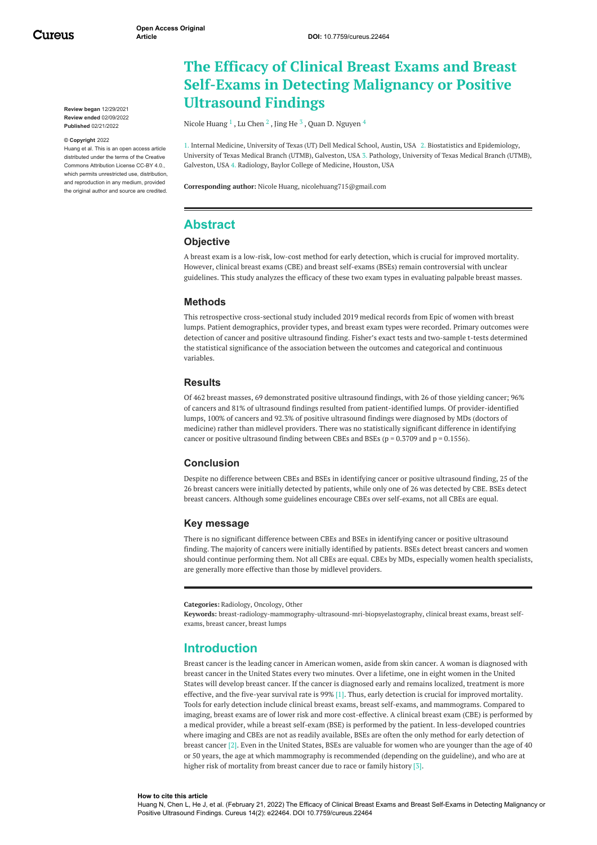Cureus

**Review began** 12/29/2021 **Review ended** 02/09/2022 **Published** 02/21/2022

#### **© Copyright** 2022

Huang et al. This is an open access article distributed under the terms of the Creative Commons Attribution License CC-BY 4.0., which permits unrestricted use, distribution, and reproduction in any medium, provided the original author and source are credited.

# **The Efficacy of Clinical Breast Exams and Breast Self-Exams in Detecting Malignancy or Positive Ultrasound Findings**

Nicole [Huang](https://www.cureus.com/users/235877-nicole-huang)  $^1$  , Lu [Chen](https://www.cureus.com/users/237448-lu-chen)  $^2$  , [Jing](https://www.cureus.com/users/113913-jing-he) He  $^3$  , Quan D. [Nguyen](https://www.cureus.com/users/108560-quan-d-nguyen)  $^4$ 

1. Internal Medicine, University of Texas (UT) Dell Medical School, Austin, USA 2. Biostatistics and Epidemiology, University of Texas Medical Branch (UTMB), Galveston, USA 3. Pathology, University of Texas Medical Branch (UTMB), Galveston, USA 4. Radiology, Baylor College of Medicine, Houston, USA

**Corresponding author:** Nicole Huang, nicolehuang715@gmail.com

## **Abstract**

### **Objective**

A breast exam is a low-risk, low-cost method for early detection, which is crucial for improved mortality. However, clinical breast exams (CBE) and breast self-exams (BSEs) remain controversial with unclear guidelines. This study analyzes the efficacy of these two exam types in evaluating palpable breast masses.

### **Methods**

This retrospective cross-sectional study included 2019 medical records from Epic of women with breast lumps. Patient demographics, provider types, and breast exam types were recorded. Primary outcomes were detection of cancer and positive ultrasound finding. Fisher's exact tests and two-sample t-tests determined the statistical significance of the association between the outcomes and categorical and continuous variables.

### **Results**

Of 462 breast masses, 69 demonstrated positive ultrasound findings, with 26 of those yielding cancer; 96% of cancers and 81% of ultrasound findings resulted from patient-identified lumps. Of provider-identified lumps, 100% of cancers and 92.3% of positive ultrasound findings were diagnosed by MDs (doctors of medicine) rather than midlevel providers. There was no statistically significant difference in identifying cancer or positive ultrasound finding between CBEs and BSEs ( $p = 0.3709$  and  $p = 0.1556$ ).

### **Conclusion**

Despite no difference between CBEs and BSEs in identifying cancer or positive ultrasound finding, 25 of the 26 breast cancers were initially detected by patients, while only one of 26 was detected by CBE. BSEs detect breast cancers. Although some guidelines encourage CBEs over self-exams, not all CBEs are equal.

### **Key message**

There is no significant difference between CBEs and BSEs in identifying cancer or positive ultrasound finding. The majority of cancers were initially identified by patients. BSEs detect breast cancers and women should continue performing them. Not all CBEs are equal. CBEs by MDs, especially women health specialists, are generally more effective than those by midlevel providers.

**Categories:** Radiology, Oncology, Other

**Keywords:** breast-radiology-mammography-ultrasound-mri-biopsyelastography, clinical breast exams, breast selfexams, breast cancer, breast lumps

### **Introduction**

Breast cancer is the leading cancer in American women, aside from skin cancer. A woman is diagnosed with breast cancer in the United States every two minutes. Over a lifetime, one in eight women in the United States will develop breast cancer. If the cancer is diagnosed early and remains localized, treatment is more effective, and the five-year survival rate is 99% [1]. Thus, early detection is crucial for improved mortality. Tools for early detection include clinical breast exams, breast self-exams, and mammograms. Compared to imaging, breast exams are of lower risk and more cost-effective. A clinical breast exam (CBE) is performed by a medical provider, while a breast self-exam (BSE) is performed by the patient. In less-developed countries where imaging and CBEs are not as readily available, BSEs are often the only method for early detection of breast cancer [2]. Even in the United States, BSEs are valuable for women who are younger than the age of 40 or 50 years, the age at which mammography is recommended (depending on the guideline), and who are at higher risk of mortality from breast cancer due to race or family history [3].

#### **How to cite this article**

Huang N, Chen L, He J, et al. (February 21, 2022) The Efficacy of Clinical Breast Exams and Breast Self-Exams in Detecting Malignancy or Positive Ultrasound Findings. Cureus 14(2): e22464. DOI 10.7759/cureus.22464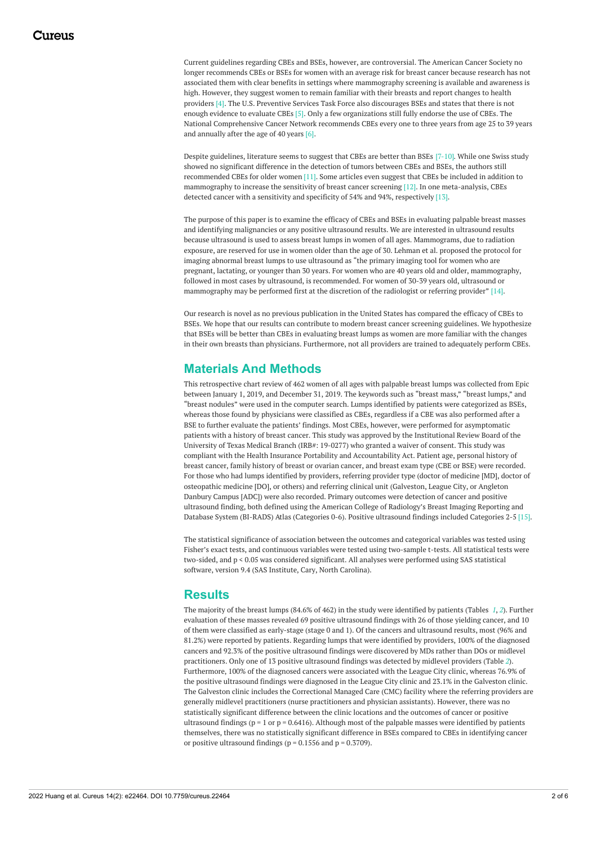Current guidelines regarding CBEs and BSEs, however, are controversial. The American Cancer Society no longer recommends CBEs or BSEs for women with an average risk for breast cancer because research has not associated them with clear benefits in settings where mammography screening is available and awareness is high. However, they suggest women to remain familiar with their breasts and report changes to health providers [4]. The U.S. Preventive Services Task Force also discourages BSEs and states that there is not enough evidence to evaluate CBEs [5]. Only a few organizations still fully endorse the use of CBEs. The National Comprehensive Cancer Network recommends CBEs every one to three years from age 25 to 39 years and annually after the age of 40 years [6].

Despite guidelines, literature seems to suggest that CBEs are better than BSEs [7-10]. While one Swiss study showed no significant difference in the detection of tumors between CBEs and BSEs, the authors still recommended CBEs for older women [11]. Some articles even suggest that CBEs be included in addition to mammography to increase the sensitivity of breast cancer screening [12]. In one meta-analysis, CBEs detected cancer with a sensitivity and specificity of 54% and 94%, respectively [13].

The purpose of this paper is to examine the efficacy of CBEs and BSEs in evaluating palpable breast masses and identifying malignancies or any positive ultrasound results. We are interested in ultrasound results because ultrasound is used to assess breast lumps in women of all ages. Mammograms, due to radiation exposure, are reserved for use in women older than the age of 30. Lehman et al. proposed the protocol for imaging abnormal breast lumps to use ultrasound as "the primary imaging tool for women who are pregnant, lactating, or younger than 30 years. For women who are 40 years old and older, mammography, followed in most cases by ultrasound, is recommended. For women of 30-39 years old, ultrasound or mammography may be performed first at the discretion of the radiologist or referring provider" [14].

Our research is novel as no previous publication in the United States has compared the efficacy of CBEs to BSEs. We hope that our results can contribute to modern breast cancer screening guidelines. We hypothesize that BSEs will be better than CBEs in evaluating breast lumps as women are more familiar with the changes in their own breasts than physicians. Furthermore, not all providers are trained to adequately perform CBEs.

## **Materials And Methods**

This retrospective chart review of 462 women of all ages with palpable breast lumps was collected from Epic between January 1, 2019, and December 31, 2019. The keywords such as "breast mass," "breast lumps," and "breast nodules" were used in the computer search. Lumps identified by patients were categorized as BSEs, whereas those found by physicians were classified as CBEs, regardless if a CBE was also performed after a BSE to further evaluate the patients' findings. Most CBEs, however, were performed for asymptomatic patients with a history of breast cancer. This study was approved by the Institutional Review Board of the University of Texas Medical Branch (IRB#: 19-0277) who granted a waiver of consent. This study was compliant with the Health Insurance Portability and Accountability Act. Patient age, personal history of breast cancer, family history of breast or ovarian cancer, and breast exam type (CBE or BSE) were recorded. For those who had lumps identified by providers, referring provider type (doctor of medicine [MD], doctor of osteopathic medicine [DO], or others) and referring clinical unit (Galveston, League City, or Angleton Danbury Campus [ADC]) were also recorded. Primary outcomes were detection of cancer and positive ultrasound finding, both defined using the American College of Radiology's Breast Imaging Reporting and Database System (BI-RADS) Atlas (Categories 0-6). Positive ultrasound findings included Categories 2-5 [15].

The statistical significance of association between the outcomes and categorical variables was tested using Fisher's exact tests, and continuous variables were tested using two-sample t-tests. All statistical tests were two-sided, and p < 0.05 was considered significant. All analyses were performed using SAS statistical software, version 9.4 (SAS Institute, Cary, North Carolina).

## **Results**

The majority of the breast lumps (84.6% of 462) in the study were identified by patients (Tables *[1](#page-2-0)*, *[2](#page-3-0)*). Further evaluation of these masses revealed 69 positive ultrasound findings with 26 of those yielding cancer, and 10 of them were classified as early-stage (stage 0 and 1). Of the cancers and ultrasound results, most (96% and 81.2%) were reported by patients. Regarding lumps that were identified by providers, 100% of the diagnosed cancers and 92.3% of the positive ultrasound findings were discovered by MDs rather than DOs or midlevel practitioners. Only one of 13 positive ultrasound findings was detected by midlevel providers (Table *[2](#page-3-0)*). Furthermore, 100% of the diagnosed cancers were associated with the League City clinic, whereas 76.9% of the positive ultrasound findings were diagnosed in the League City clinic and 23.1% in the Galveston clinic. The Galveston clinic includes the Correctional Managed Care (CMC) facility where the referring providers are generally midlevel practitioners (nurse practitioners and physician assistants). However, there was no statistically significant difference between the clinic locations and the outcomes of cancer or positive ultrasound findings ( $p = 1$  or  $p = 0.6416$ ). Although most of the palpable masses were identified by patients themselves, there was no statistically significant difference in BSEs compared to CBEs in identifying cancer or positive ultrasound findings ( $p = 0.1556$  and  $p = 0.3709$ ).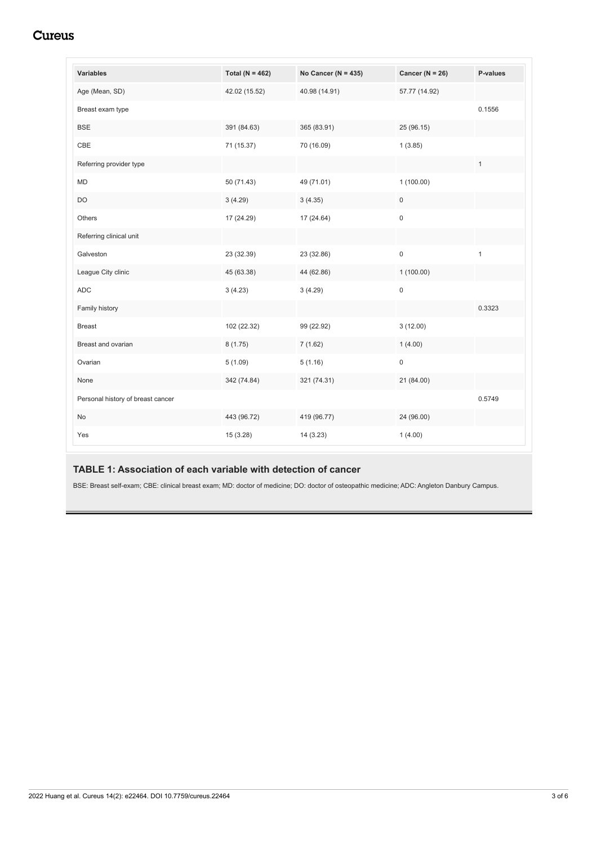## Cureus

<span id="page-2-0"></span>

| <b>Variables</b>                  | Total ( $N = 462$ ) | No Cancer ( $N = 435$ ) | Cancer ( $N = 26$ ) | P-values     |
|-----------------------------------|---------------------|-------------------------|---------------------|--------------|
| Age (Mean, SD)                    | 42.02 (15.52)       | 40.98 (14.91)           | 57.77 (14.92)       |              |
| Breast exam type                  |                     |                         |                     | 0.1556       |
| <b>BSE</b>                        | 391 (84.63)         | 365 (83.91)             | 25 (96.15)          |              |
| CBE                               | 71 (15.37)          | 70 (16.09)              | 1(3.85)             |              |
| Referring provider type           |                     |                         |                     | $\mathbf{1}$ |
| <b>MD</b>                         | 50 (71.43)          | 49 (71.01)              | 1(100.00)           |              |
| <b>DO</b>                         | 3(4.29)             | 3(4.35)                 | 0                   |              |
| Others                            | 17 (24.29)          | 17 (24.64)              | $\mathbf 0$         |              |
| Referring clinical unit           |                     |                         |                     |              |
| Galveston                         | 23 (32.39)          | 23 (32.86)              | $\mathsf 0$         | 1            |
| League City clinic                | 45 (63.38)          | 44 (62.86)              | 1(100.00)           |              |
| <b>ADC</b>                        | 3(4.23)             | 3(4.29)                 | $\mathsf 0$         |              |
| Family history                    |                     |                         |                     | 0.3323       |
| <b>Breast</b>                     | 102 (22.32)         | 99 (22.92)              | 3(12.00)            |              |
| Breast and ovarian                | 8(1.75)             | 7(1.62)                 | 1(4.00)             |              |
| Ovarian                           | 5(1.09)             | 5(1.16)                 | $\pmb{0}$           |              |
| None                              | 342 (74.84)         | 321 (74.31)             | 21 (84.00)          |              |
| Personal history of breast cancer |                     |                         |                     | 0.5749       |
| No                                | 443 (96.72)         | 419 (96.77)             | 24 (96.00)          |              |
| Yes                               | 15 (3.28)           | 14(3.23)                | 1(4.00)             |              |

## **TABLE 1: Association of each variable with detection of cancer**

BSE: Breast self-exam; CBE: clinical breast exam; MD: doctor of medicine; DO: doctor of osteopathic medicine; ADC: Angleton Danbury Campus.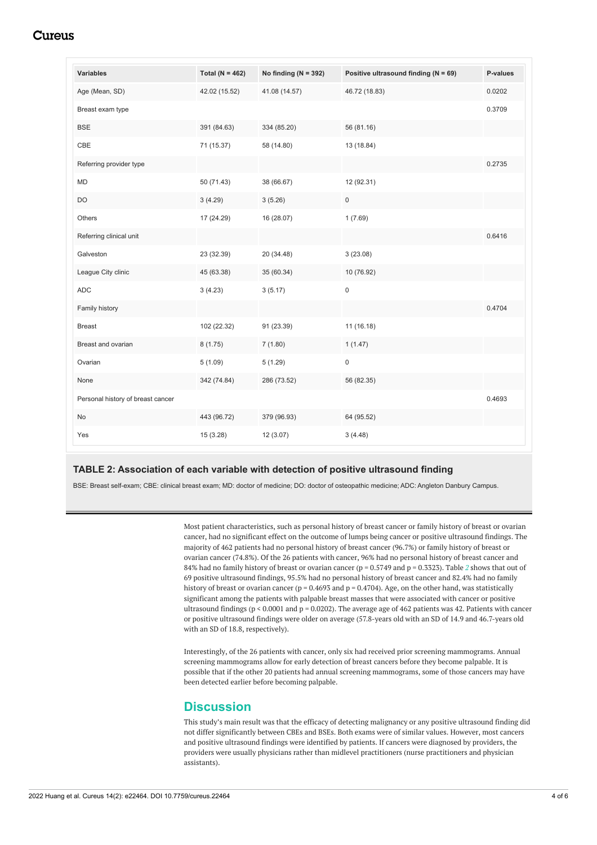## Cureus

<span id="page-3-0"></span>

| <b>Variables</b>                  | Total ( $N = 462$ ) | No finding ( $N = 392$ ) | Positive ultrasound finding ( $N = 69$ ) | P-values |
|-----------------------------------|---------------------|--------------------------|------------------------------------------|----------|
| Age (Mean, SD)                    | 42.02 (15.52)       | 41.08 (14.57)            | 46.72 (18.83)                            | 0.0202   |
| Breast exam type                  |                     |                          |                                          | 0.3709   |
| <b>BSE</b>                        | 391 (84.63)         | 334 (85.20)              | 56 (81.16)                               |          |
| CBE                               | 71 (15.37)          | 58 (14.80)               | 13 (18.84)                               |          |
| Referring provider type           |                     |                          |                                          | 0.2735   |
| <b>MD</b>                         | 50 (71.43)          | 38 (66.67)               | 12 (92.31)                               |          |
| <b>DO</b>                         | 3(4.29)             | 3(5.26)                  | $\mathbf 0$                              |          |
| Others                            | 17 (24.29)          | 16 (28.07)               | 1(7.69)                                  |          |
| Referring clinical unit           |                     |                          |                                          | 0.6416   |
| Galveston                         | 23 (32.39)          | 20 (34.48)               | 3(23.08)                                 |          |
| League City clinic                | 45 (63.38)          | 35 (60.34)               | 10 (76.92)                               |          |
| <b>ADC</b>                        | 3(4.23)             | 3(5.17)                  | $\mathsf 0$                              |          |
| Family history                    |                     |                          |                                          | 0.4704   |
| <b>Breast</b>                     | 102 (22.32)         | 91 (23.39)               | 11 (16.18)                               |          |
| Breast and ovarian                | 8(1.75)             | 7(1.80)                  | 1(1.47)                                  |          |
| Ovarian                           | 5(1.09)             | 5(1.29)                  | $\pmb{0}$                                |          |
| None                              | 342 (74.84)         | 286 (73.52)              | 56 (82.35)                               |          |
| Personal history of breast cancer |                     |                          |                                          | 0.4693   |
| No                                | 443 (96.72)         | 379 (96.93)              | 64 (95.52)                               |          |
| Yes                               | 15(3.28)            | 12(3.07)                 | 3(4.48)                                  |          |

### **TABLE 2: Association of each variable with detection of positive ultrasound finding**

BSE: Breast self-exam; CBE: clinical breast exam; MD: doctor of medicine; DO: doctor of osteopathic medicine; ADC: Angleton Danbury Campus.

Most patient characteristics, such as personal history of breast cancer or family history of breast or ovarian cancer, had no significant effect on the outcome of lumps being cancer or positive ultrasound findings. The majority of 462 patients had no personal history of breast cancer (96.7%) or family history of breast or ovarian cancer (74.8%). Of the 26 patients with cancer, 96% had no personal history of breast cancer and 84% had no family history of breast or ovarian cancer (p = 0.5749 and p = 0.3323). Table *[2](#page-3-0)* shows that out of 69 positive ultrasound findings, 95.5% had no personal history of breast cancer and 82.4% had no family history of breast or ovarian cancer ( $p = 0.4693$  and  $p = 0.4704$ ). Age, on the other hand, was statistically significant among the patients with palpable breast masses that were associated with cancer or positive ultrasound findings ( $p < 0.0001$  and  $p = 0.0202$ ). The average age of 462 patients was 42. Patients with cancer or positive ultrasound findings were older on average (57.8-years old with an SD of 14.9 and 46.7-years old with an SD of 18.8, respectively).

Interestingly, of the 26 patients with cancer, only six had received prior screening mammograms. Annual screening mammograms allow for early detection of breast cancers before they become palpable. It is possible that if the other 20 patients had annual screening mammograms, some of those cancers may have been detected earlier before becoming palpable.

## **Discussion**

This study's main result was that the efficacy of detecting malignancy or any positive ultrasound finding did not differ significantly between CBEs and BSEs. Both exams were of similar values. However, most cancers and positive ultrasound findings were identified by patients. If cancers were diagnosed by providers, the providers were usually physicians rather than midlevel practitioners (nurse practitioners and physician assistants).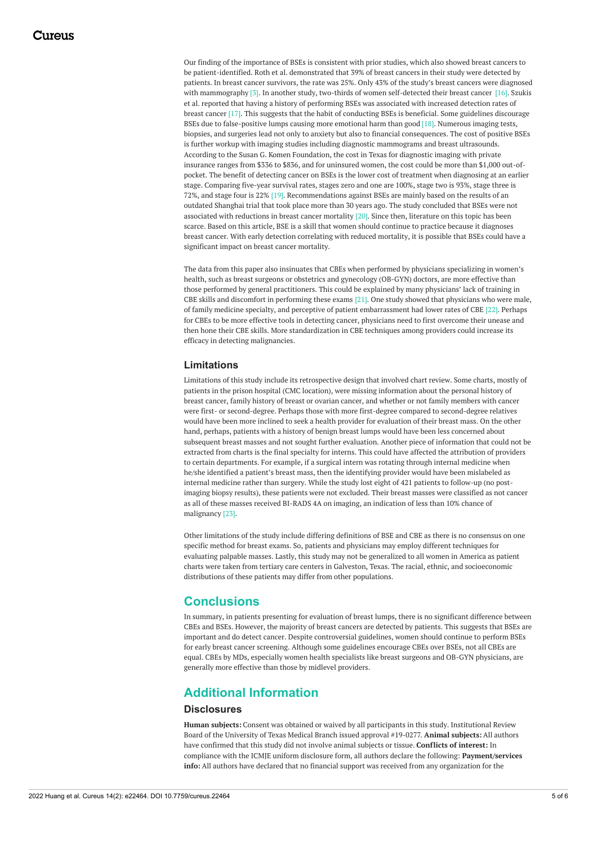Our finding of the importance of BSEs is consistent with prior studies, which also showed breast cancers to be patient-identified. Roth et al. demonstrated that 39% of breast cancers in their study were detected by patients. In breast cancer survivors, the rate was 25%. Only 43% of the study's breast cancers were diagnosed with mammography [3]. In another study, two-thirds of women self-detected their breast cancer [16]. Szukis et al. reported that having a history of performing BSEs was associated with increased detection rates of breast cancer [17]. This suggests that the habit of conducting BSEs is beneficial. Some guidelines discourage BSEs due to false-positive lumps causing more emotional harm than good [18]. Numerous imaging tests, biopsies, and surgeries lead not only to anxiety but also to financial consequences. The cost of positive BSEs is further workup with imaging studies including diagnostic mammograms and breast ultrasounds. According to the Susan G. Komen Foundation, the cost in Texas for diagnostic imaging with private insurance ranges from \$336 to \$836, and for uninsured women, the cost could be more than \$1,000 out-ofpocket. The benefit of detecting cancer on BSEs is the lower cost of treatment when diagnosing at an earlier stage. Comparing five-year survival rates, stages zero and one are 100%, stage two is 93%, stage three is 72%, and stage four is 22% [19]. Recommendations against BSEs are mainly based on the results of an outdated Shanghai trial that took place more than 30 years ago. The study concluded that BSEs were not associated with reductions in breast cancer mortality [20]. Since then, literature on this topic has been scarce. Based on this article, BSE is a skill that women should continue to practice because it diagnoses breast cancer. With early detection correlating with reduced mortality, it is possible that BSEs could have a significant impact on breast cancer mortality.

The data from this paper also insinuates that CBEs when performed by physicians specializing in women's health, such as breast surgeons or obstetrics and gynecology (OB-GYN) doctors, are more effective than those performed by general practitioners. This could be explained by many physicians' lack of training in CBE skills and discomfort in performing these exams [21]. One study showed that physicians who were male, of family medicine specialty, and perceptive of patient embarrassment had lower rates of CBE [22]. Perhaps for CBEs to be more effective tools in detecting cancer, physicians need to first overcome their unease and then hone their CBE skills. More standardization in CBE techniques among providers could increase its efficacy in detecting malignancies.

### **Limitations**

Limitations of this study include its retrospective design that involved chart review. Some charts, mostly of patients in the prison hospital (CMC location), were missing information about the personal history of breast cancer, family history of breast or ovarian cancer, and whether or not family members with cancer were first- or second-degree. Perhaps those with more first-degree compared to second-degree relatives would have been more inclined to seek a health provider for evaluation of their breast mass. On the other hand, perhaps, patients with a history of benign breast lumps would have been less concerned about subsequent breast masses and not sought further evaluation. Another piece of information that could not be extracted from charts is the final specialty for interns. This could have affected the attribution of providers to certain departments. For example, if a surgical intern was rotating through internal medicine when he/she identified a patient's breast mass, then the identifying provider would have been mislabeled as internal medicine rather than surgery. While the study lost eight of 421 patients to follow-up (no postimaging biopsy results), these patients were not excluded. Their breast masses were classified as not cancer as all of these masses received BI-RADS 4A on imaging, an indication of less than 10% chance of malignancy [23].

Other limitations of the study include differing definitions of BSE and CBE as there is no consensus on one specific method for breast exams. So, patients and physicians may employ different techniques for evaluating palpable masses. Lastly, this study may not be generalized to all women in America as patient charts were taken from tertiary care centers in Galveston, Texas. The racial, ethnic, and socioeconomic distributions of these patients may differ from other populations.

## **Conclusions**

In summary, in patients presenting for evaluation of breast lumps, there is no significant difference between CBEs and BSEs. However, the majority of breast cancers are detected by patients. This suggests that BSEs are important and do detect cancer. Despite controversial guidelines, women should continue to perform BSEs for early breast cancer screening. Although some guidelines encourage CBEs over BSEs, not all CBEs are equal. CBEs by MDs, especially women health specialists like breast surgeons and OB-GYN physicians, are generally more effective than those by midlevel providers.

## **Additional Information**

### **Disclosures**

**Human subjects:** Consent was obtained or waived by all participants in this study. Institutional Review Board of the University of Texas Medical Branch issued approval #19-0277. **Animal subjects:** All authors have confirmed that this study did not involve animal subjects or tissue. **Conflicts of interest:** In compliance with the ICMJE uniform disclosure form, all authors declare the following: **Payment/services info:** All authors have declared that no financial support was received from any organization for the